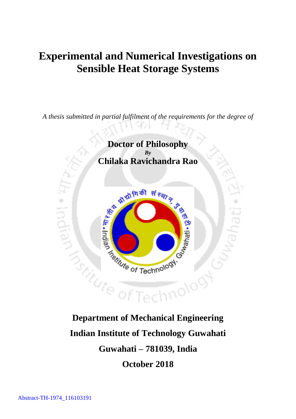## **Experimental and Numerical Investigations on Sensible Heat Storage Systems**

*A thesis submitted in partial fulfilment of the requirements for the degree of*



## **Department of Mechanical Engineering Indian Institute of Technology Guwahati Guwahati – 781039, India October 2018**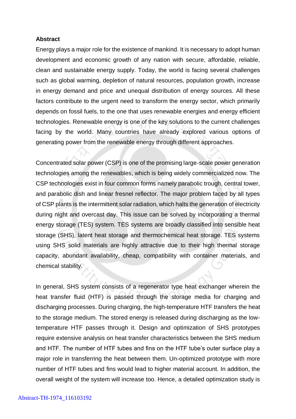## **Abstract**

Energy plays a major role for the existence of mankind. It is necessary to adopt human development and economic growth of any nation with secure, affordable, reliable, clean and sustainable energy supply. Today, the world is facing several challenges such as global warming, depletion of natural resources, population growth, increase in energy demand and price and unequal distribution of energy sources. All these factors contribute to the urgent need to transform the energy sector, which primarily depends on fossil fuels, to the one that uses renewable energies and energy efficient technologies. Renewable energy is one of the key solutions to the current challenges facing by the world. Many countries have already explored various options of generating power from the renewable energy through different approaches.

Concentrated solar power (CSP) is one of the promising large-scale power generation technologies among the renewables, which is being widely commercialized now. The CSP technologies exist in four common forms namely parabolic trough, central tower, and parabolic dish and linear fresnel reflector. The major problem faced by all types of CSP plants is the intermittent solar radiation, which halts the generation of electricity during night and overcast day. This issue can be solved by incorporating a thermal energy storage (TES) system. TES systems are broadly classified into sensible heat storage (SHS), latent heat storage and thermochemical heat storage. TES systems using SHS solid materials are highly attractive due to their high thermal storage capacity, abundant availability, cheap, compatibility with container materials, and chemical stability.

In general, SHS system consists of a regenerator type heat exchanger wherein the heat transfer fluid (HTF) is passed through the storage media for charging and discharging processes. During charging, the high-temperature HTF transfers the heat to the storage medium. The stored energy is released during discharging as the lowtemperature HTF passes through it. Design and optimization of SHS prototypes require extensive analysis on heat transfer characteristics between the SHS medium and HTF. The number of HTF tubes and fins on the HTF tube's outer surface play a major role in transferring the heat between them. Un-optimized prototype with more number of HTF tubes and fins would lead to higher material account. In addition, the overall weight of the system will increase too. Hence, a detailed optimization study is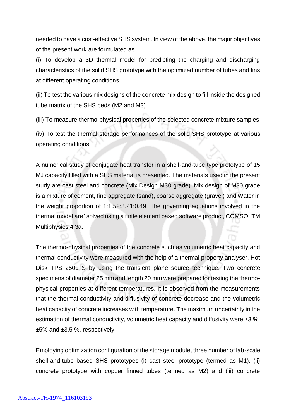needed to have a cost-effective SHS system. In view of the above, the major objectives of the present work are formulated as

(i) To develop a 3D thermal model for predicting the charging and discharging characteristics of the solid SHS prototype with the optimized number of tubes and fins at different operating conditions

(ii) To test the various mix designs of the concrete mix design to fill inside the designed tube matrix of the SHS beds (M2 and M3)

(iii) To measure thermo-physical properties of the selected concrete mixture samples

(iv) To test the thermal storage performances of the solid SHS prototype at various operating conditions.

A numerical study of conjugate heat transfer in a shell-and-tube type prototype of 15 MJ capacity filled with a SHS material is presented. The materials used in the present study are cast steel and concrete (Mix Design M30 grade). Mix design of M30 grade is a mixture of cement, fine aggregate (sand), coarse aggregate (gravel) and Water in the weight proportion of 1:1.52:3.21:0.49. The governing equations involved in the thermal model are1solved using a finite element based software product, COMSOLTM Multiphysics 4.3a.

The thermo-physical properties of the concrete such as volumetric heat capacity and thermal conductivity were measured with the help of a thermal property analyser, Hot Disk TPS 2500 S by using the transient plane source technique. Two concrete specimens of diameter 25 mm and length 20 mm were prepared for testing the thermophysical properties at different temperatures. It is observed from the measurements that the thermal conductivity and diffusivity of concrete decrease and the volumetric heat capacity of concrete increases with temperature. The maximum uncertainty in the estimation of thermal conductivity, volumetric heat capacity and diffusivity were  $\pm 3$  %, ±5% and ±3.5 %, respectively.

Employing optimization configuration of the storage module, three number of lab-scale shell-and-tube based SHS prototypes (i) cast steel prototype (termed as M1), (ii) concrete prototype with copper finned tubes (termed as M2) and (iii) concrete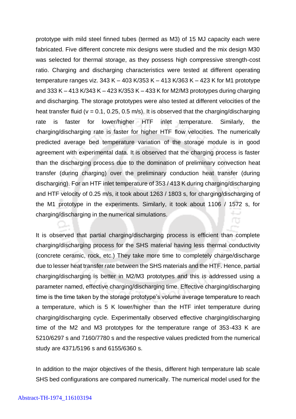prototype with mild steel finned tubes (termed as M3) of 15 MJ capacity each were fabricated. Five different concrete mix designs were studied and the mix design M30 was selected for thermal storage, as they possess high compressive strength-cost ratio. Charging and discharging characteristics were tested at different operating temperature ranges viz. 343 K – 403 K/353 K – 413 K/363 K – 423 K for M1 prototype and 333 K – 413 K/343 K – 423 K/353 K – 433 K for M2/M3 prototypes during charging and discharging. The storage prototypes were also tested at different velocities of the heat transfer fluid ( $v = 0.1$ , 0.25, 0.5 m/s). It is observed that the charging/discharging rate is faster for lower/higher HTF inlet temperature. Similarly, the charging/discharging rate is faster for higher HTF flow velocities. The numerically predicted average bed temperature variation of the storage module is in good agreement with experimental data. It is observed that the charging process is faster than the discharging process due to the domination of preliminary convection heat transfer (during charging) over the preliminary conduction heat transfer (during discharging). For an HTF inlet temperature of 353 / 413 K during charging/discharging and HTF velocity of 0.25 m/s, it took about 1263 / 1803 s, for charging/discharging of the M1 prototype in the experiments. Similarly, it took about 1106 / 1572 s, for charging/discharging in the numerical simulations.

It is observed that partial charging/discharging process is efficient than complete charging/discharging process for the SHS material having less thermal conductivity (concrete ceramic, rock, etc.) They take more time to completely charge/discharge due to lesser heat transfer rate between the SHS materials and the HTF. Hence, partial charging/discharging is better in M2/M3 prototypes and this is addressed using a parameter named, effective charging/discharging time. Effective charging/discharging time is the time taken by the storage prototype's volume average temperature to reach a temperature, which is 5 K lower/higher than the HTF inlet temperature during charging/discharging cycle. Experimentally observed effective charging/discharging time of the M2 and M3 prototypes for the temperature range of 353-433 K are 5210/6297 s and 7160/7780 s and the respective values predicted from the numerical study are 4371/5196 s and 6155/6360 s.

In addition to the major objectives of the thesis, different high temperature lab scale SHS bed configurations are compared numerically. The numerical model used for the